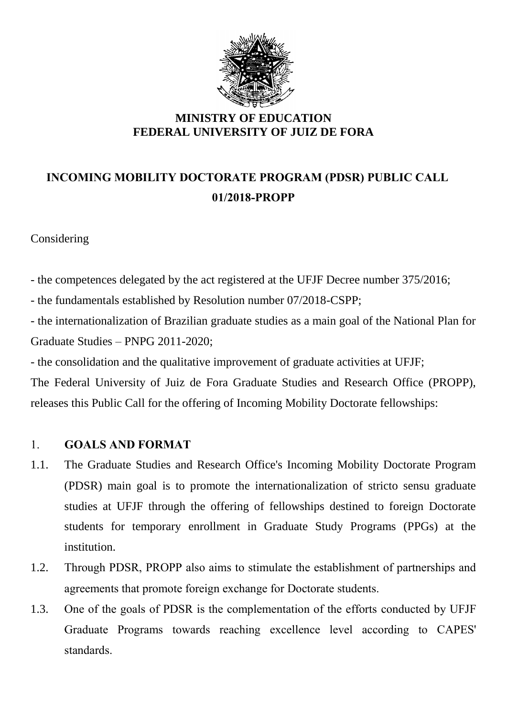

# **INCOMING MOBILITY DOCTORATE PROGRAM (PDSR) PUBLIC CALL 01/2018-PROPP**

#### Considering

- the competences delegated by the act registered at the UFJF Decree number 375/2016;

- the fundamentals established by Resolution number 07/2018-CSPP;

- the internationalization of Brazilian graduate studies as a main goal of the National Plan for Graduate Studies – PNPG 2011-2020;

- the consolidation and the qualitative improvement of graduate activities at UFJF;

The Federal University of Juiz de Fora Graduate Studies and Research Office (PROPP), releases this Public Call for the offering of Incoming Mobility Doctorate fellowships:

#### 1. **GOALS AND FORMAT**

- 1.1. The Graduate Studies and Research Office's Incoming Mobility Doctorate Program (PDSR) main goal is to promote the internationalization of stricto sensu graduate studies at UFJF through the offering of fellowships destined to foreign Doctorate students for temporary enrollment in Graduate Study Programs (PPGs) at the institution.
- 1.2. Through PDSR, PROPP also aims to stimulate the establishment of partnerships and agreements that promote foreign exchange for Doctorate students.
- 1.3. One of the goals of PDSR is the complementation of the efforts conducted by UFJF Graduate Programs towards reaching excellence level according to CAPES' standards.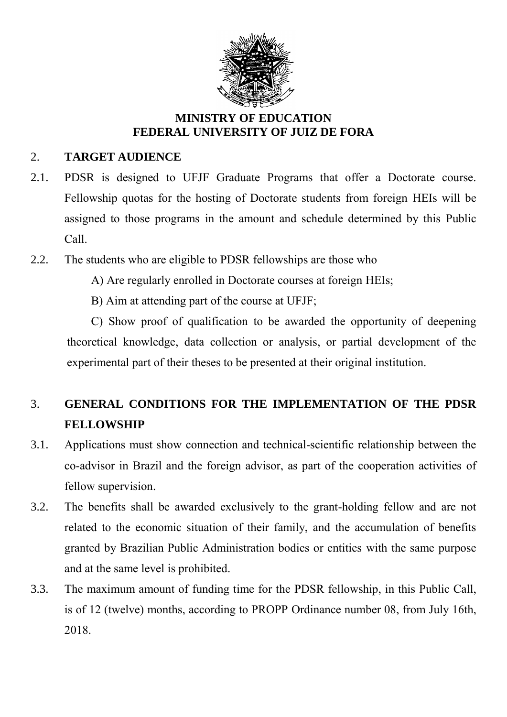

### 2. **TARGET AUDIENCE**

- 2.1. PDSR is designed to UFJF Graduate Programs that offer a Doctorate course. Fellowship quotas for the hosting of Doctorate students from foreign HEIs will be assigned to those programs in the amount and schedule determined by this Public Call.
- 2.2. The students who are eligible to PDSR fellowships are those who
	- A) Are regularly enrolled in Doctorate courses at foreign HEIs;
	- B) Aim at attending part of the course at UFJF;

C) Show proof of qualification to be awarded the opportunity of deepening theoretical knowledge, data collection or analysis, or partial development of the experimental part of their theses to be presented at their original institution.

# 3. **GENERAL CONDITIONS FOR THE IMPLEMENTATION OF THE PDSR FELLOWSHIP**

- 3.1. Applications must show connection and technical-scientific relationship between the co-advisor in Brazil and the foreign advisor, as part of the cooperation activities of fellow supervision.
- 3.2. The benefits shall be awarded exclusively to the grant-holding fellow and are not related to the economic situation of their family, and the accumulation of benefits granted by Brazilian Public Administration bodies or entities with the same purpose and at the same level is prohibited.
- 3.3. The maximum amount of funding time for the PDSR fellowship, in this Public Call, is of 12 (twelve) months, according to PROPP Ordinance number 08, from July 16th, 2018.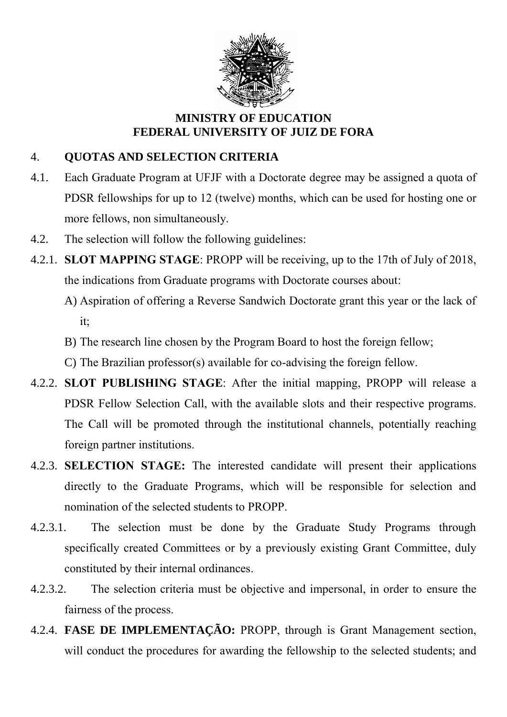

## 4. **QUOTAS AND SELECTION CRITERIA**

- 4.1. Each Graduate Program at UFJF with a Doctorate degree may be assigned a quota of PDSR fellowships for up to 12 (twelve) months, which can be used for hosting one or more fellows, non simultaneously.
- 4.2. The selection will follow the following guidelines:
- 4.2.1. **SLOT MAPPING STAGE**: PROPP will be receiving, up to the 17th of July of 2018, the indications from Graduate programs with Doctorate courses about:
	- A) Aspiration of offering a Reverse Sandwich Doctorate grant this year or the lack of it;
	- B) The research line chosen by the Program Board to host the foreign fellow;
	- C) The Brazilian professor(s) available for co-advising the foreign fellow.
- 4.2.2. **SLOT PUBLISHING STAGE**: After the initial mapping, PROPP will release a PDSR Fellow Selection Call, with the available slots and their respective programs. The Call will be promoted through the institutional channels, potentially reaching foreign partner institutions.
- 4.2.3. **SELECTION STAGE:** The interested candidate will present their applications directly to the Graduate Programs, which will be responsible for selection and nomination of the selected students to PROPP.
- 4.2.3.1. The selection must be done by the Graduate Study Programs through specifically created Committees or by a previously existing Grant Committee, duly constituted by their internal ordinances.
- 4.2.3.2. The selection criteria must be objective and impersonal, in order to ensure the fairness of the process.
- 4.2.4. **FASE DE IMPLEMENTAÇÃO:** PROPP, through is Grant Management section, will conduct the procedures for awarding the fellowship to the selected students; and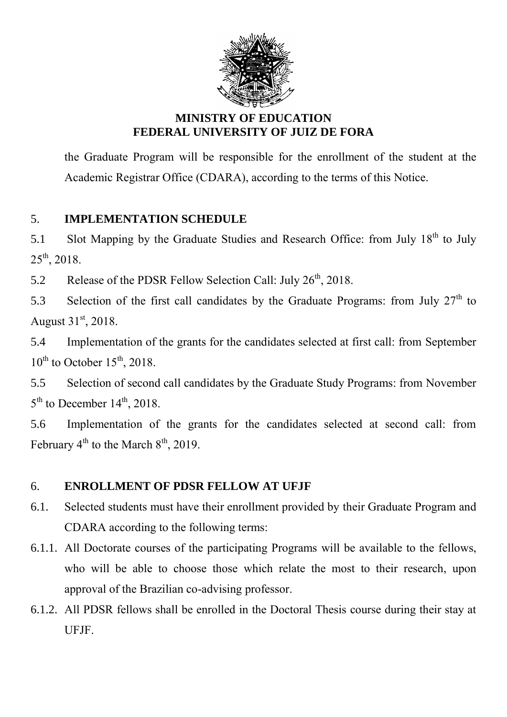

the Graduate Program will be responsible for the enrollment of the student at the Academic Registrar Office (CDARA), according to the terms of this Notice.

# 5. **IMPLEMENTATION SCHEDULE**

5.1 Slot Mapping by the Graduate Studies and Research Office: from July 18<sup>th</sup> to July  $25^{th}$ , 2018.

5.2 Release of the PDSR Fellow Selection Call: July  $26<sup>th</sup>$ , 2018.

5.3 Selection of the first call candidates by the Graduate Programs: from July  $27<sup>th</sup>$  to August  $31<sup>st</sup>$ , 2018.

5.4 Implementation of the grants for the candidates selected at first call: from September  $10^{th}$  to October  $15^{th}$ , 2018.

5.5 Selection of second call candidates by the Graduate Study Programs: from November  $5<sup>th</sup>$  to December 14<sup>th</sup>, 2018.

5.6 Implementation of the grants for the candidates selected at second call: from February  $4^{th}$  to the March  $8^{th}$ , 2019.

## 6. **ENROLLMENT OF PDSR FELLOW AT UFJF**

- 6.1. Selected students must have their enrollment provided by their Graduate Program and CDARA according to the following terms:
- 6.1.1. All Doctorate courses of the participating Programs will be available to the fellows, who will be able to choose those which relate the most to their research, upon approval of the Brazilian co-advising professor.
- 6.1.2. All PDSR fellows shall be enrolled in the Doctoral Thesis course during their stay at UFJF.